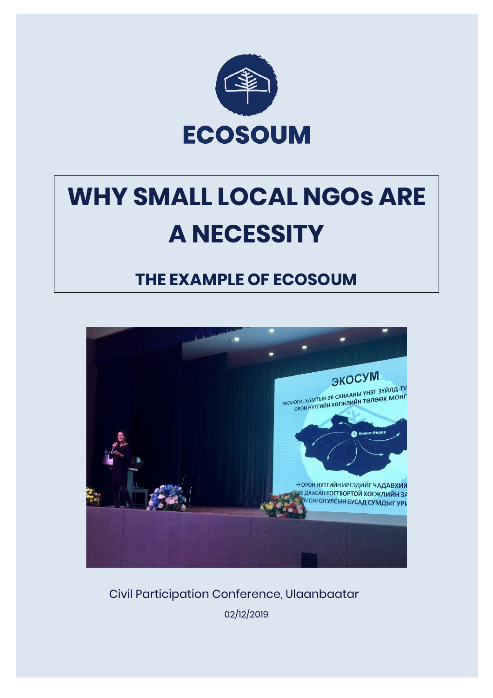

# **WHY SMALL LOCAL NGOs ARE A NECESSITY**

# **THE EXAMPLE OF ECOSOUM**



Civil Participation Conference, Ulaanbaatar

02/12/2019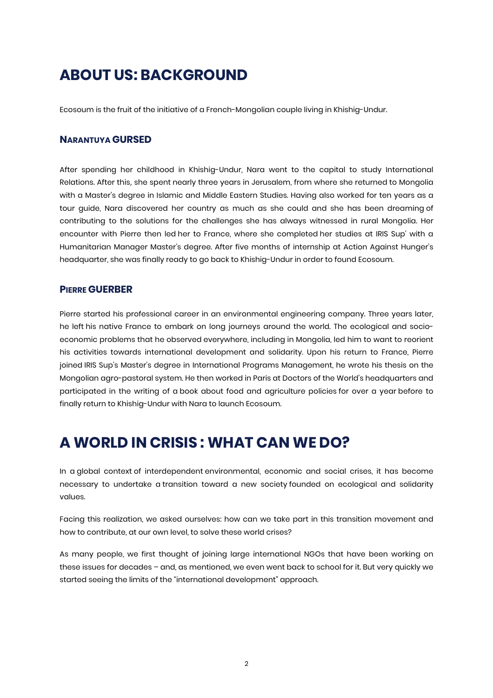# **ABOUT US: BACKGROUND**

Ecosoum is the fruit of the initiative of a French-Mongolian couple living in Khishig-Undur.

#### **NARANTUYA GURSED**

After spending her childhood in Khishig-Undur, Nara went to the capital to study International Relations. After this, she spent nearly three years in Jerusalem, from where she returned to Mongolia with a Master's degree in Islamic and Middle Eastern Studies. Having also worked for ten years as a tour guide, Nara discovered her country as much as she could and she has been dreaming of contributing to the solutions for the challenges she has always witnessed in rural Mongolia. Her encounter with Pierre then led her to France, where she completed her studies at IRIS Sup' with a Humanitarian Manager Master's degree. After five months of internship at Action Against Hunger's headquarter, she was finally ready to go back to Khishig-Undur in order to found Ecosoum.

#### **PIERRE GUERBER**

Pierre started his professional career in an environmental engineering company. Three years later, he left his native France to embark on long journeys around the world. The ecological and socioeconomic problems that he observed everywhere, including in Mongolia, led him to want to reorient his activities towards international development and solidarity. Upon his return to France, Pierre joined IRIS Sup's Master's degree in International Programs Management, he wrote his thesis on the Mongolian agro-pastoral system. He then worked in Paris at Doctors of the World's headquarters and participated in the writing of a book about food and agriculture policies for over a year before to finally return to Khishig-Undur with Nara to launch Ecosoum.

# **A WORLD IN CRISIS : WHAT CAN WE DO?**

In a global context of interdependent environmental, economic and social crises, it has become necessary to undertake a transition toward a new society founded on ecological and solidarity values.

Facing this realization, we asked ourselves: how can we take part in this transition movement and how to contribute, at our own level, to solve these world crises?

As many people, we first thought of joining large international NGOs that have been working on these issues for decades – and, as mentioned, we even went back to school for it. But very quickly we started seeing the limits of the "international development" approach.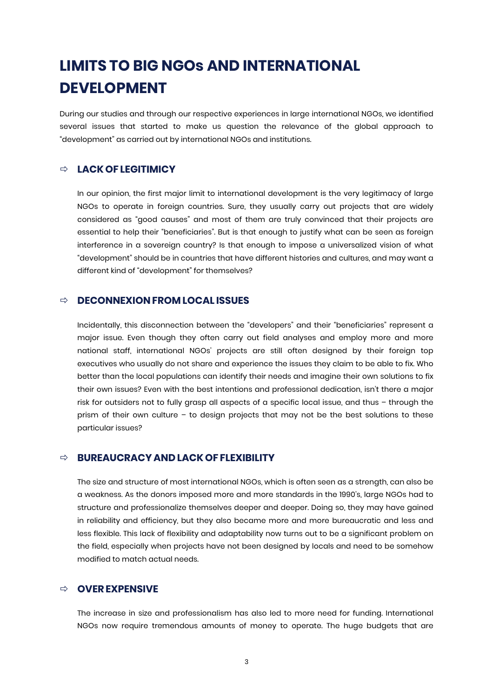# **LIMITS TO BIG NGOs AND INTERNATIONAL DEVELOPMENT**

During our studies and through our respective experiences in large international NGOs, we identified several issues that started to make us question the relevance of the global approach to "development" as carried out by international NGOs and institutions.

#### ð **LACK OF LEGITIMICY**

In our opinion, the first major limit to international development is the very legitimacy of large NGOs to operate in foreign countries. Sure, they usually carry out projects that are widely considered as "good causes" and most of them are truly convinced that their projects are essential to help their "beneficiaries". But is that enough to justify what can be seen as foreign interference in a sovereign country? Is that enough to impose a universalized vision of what "development" should be in countries that have different histories and cultures, and may want a different kind of "development" for themselves?

#### ð **DECONNEXION FROM LOCAL ISSUES**

Incidentally, this disconnection between the "developers" and their "beneficiaries" represent a major issue. Even though they often carry out field analyses and employ more and more national staff, international NGOs' projects are still often designed by their foreign top executives who usually do not share and experience the issues they claim to be able to fix. Who better than the local populations can identify their needs and imagine their own solutions to fix their own issues? Even with the best intentions and professional dedication, isn't there a major risk for outsiders not to fully grasp all aspects of a specific local issue, and thus – through the prism of their own culture – to design projects that may not be the best solutions to these particular issues?

#### ð **BUREAUCRACY AND LACK OF FLEXIBILITY**

The size and structure of most international NGOs, which is often seen as a strength, can also be a weakness. As the donors imposed more and more standards in the 1990's, large NGOs had to structure and professionalize themselves deeper and deeper. Doing so, they may have gained in reliability and efficiency, but they also became more and more bureaucratic and less and less flexible. This lack of flexibility and adaptability now turns out to be a significant problem on the field, especially when projects have not been designed by locals and need to be somehow modified to match actual needs.

#### ð **OVEREXPENSIVE**

The increase in size and professionalism has also led to more need for funding. International NGOs now require tremendous amounts of money to operate. The huge budgets that are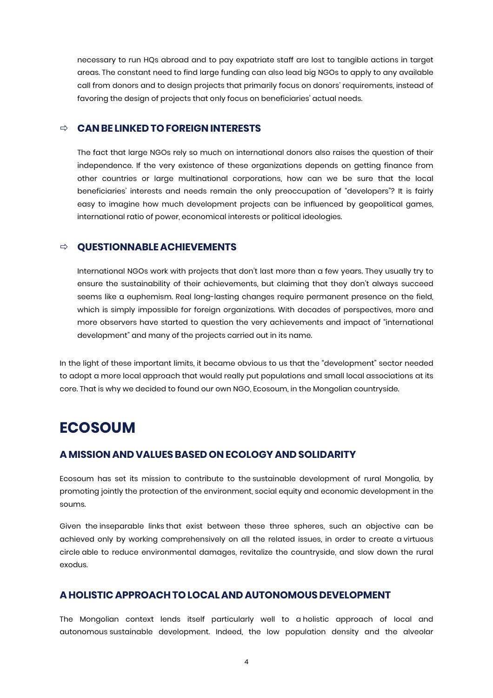necessary to run HQs abroad and to pay expatriate staff are lost to tangible actions in target areas. The constant need to find large funding can also lead big NGOs to apply to any available call from donors and to design projects that primarily focus on donors' requirements, instead of favoring the design of projects that only focus on beneficiaries' actual needs.

#### ð **CAN BE LINKED TO FOREIGN INTERESTS**

The fact that large NGOs rely so much on international donors also raises the question of their independence. If the very existence of these organizations depends on getting finance from other countries or large multinational corporations, how can we be sure that the local beneficiaries' interests and needs remain the only preoccupation of "developers"? It is fairly easy to imagine how much development projects can be influenced by geopolitical games, international ratio of power, economical interests or political ideologies.

#### ð **QUESTIONNABLE ACHIEVEMENTS**

International NGOs work with projects that don't last more than a few years. They usually try to ensure the sustainability of their achievements, but claiming that they don't always succeed seems like a euphemism. Real long-lasting changes require permanent presence on the field, which is simply impossible for foreign organizations. With decades of perspectives, more and more observers have started to question the very achievements and impact of "international development" and many of the projects carried out in its name.

In the light of these important limits, it became obvious to us that the "development" sector needed to adopt a more local approach that would really put populations and small local associations at its core. That is why we decided to found our own NGO, Ecosoum, in the Mongolian countryside.

## **ECOSOUM**

#### **A MISSION AND VALUESBASED ON ECOLOGY AND SOLIDARITY**

Ecosoum has set its mission to contribute to the sustainable development of rural Mongolia, by promoting jointly the protection of the environment, social equity and economic development in the soums.

Given the inseparable links that exist between these three spheres, such an objective can be achieved only by working comprehensively on all the related issues, in order to create a virtuous circle able to reduce environmental damages, revitalize the countryside, and slow down the rural exodus.

#### **A HOLISTIC APPROACH TO LOCAL AND AUTONOMOUS DEVELOPMENT**

The Mongolian context lends itself particularly well to a holistic approach of local and autonomous sustainable development. Indeed, the low population density and the alveolar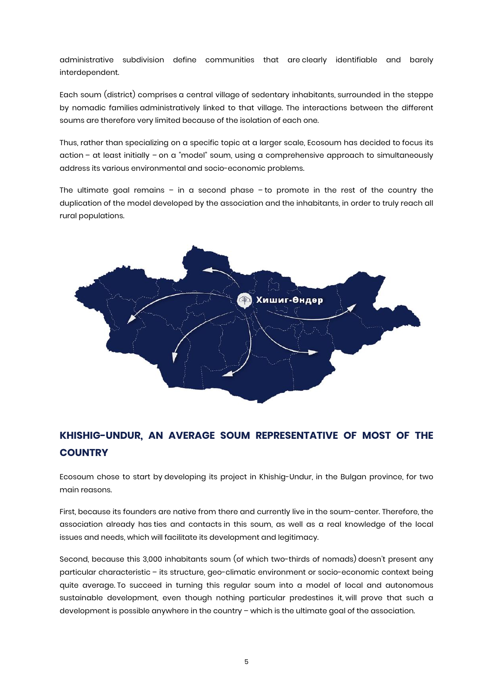administrative subdivision define communities that are clearly identifiable and barely interdependent.

Each soum (district) comprises a central village of sedentary inhabitants, surrounded in the steppe by nomadic families administratively linked to that village. The interactions between the different soums are therefore very limited because of the isolation of each one.

Thus, rather than specializing on a specific topic at a larger scale, Ecosoum has decided to focus its action – at least initially – on a "model" soum, using a comprehensive approach to simultaneously address its various environmental and socio-economic problems.

The ultimate goal remains – in a second phase – to promote in the rest of the country the duplication of the model developed by the association and the inhabitants, in order to truly reach all rural populations.



### **KHISHIG-UNDUR, AN AVERAGE SOUM REPRESENTATIVE OF MOST OF THE COUNTRY**

Ecosoum chose to start by developing its project in Khishig-Undur, in the Bulgan province, for two main reasons.

First, because its founders are native from there and currently live in the soum-center. Therefore, the association already has ties and contacts in this soum, as well as a real knowledge of the local issues and needs, which will facilitate its development and legitimacy.

Second, because this 3,000 inhabitants soum (of which two-thirds of nomads) doesn't present any particular characteristic – its structure, geo-climatic environment or socio-economic context being quite average. To succeed in turning this regular soum into a model of local and autonomous sustainable development, even though nothing particular predestines it, will prove that such a development is possible anywhere in the country – which is the ultimate goal of the association.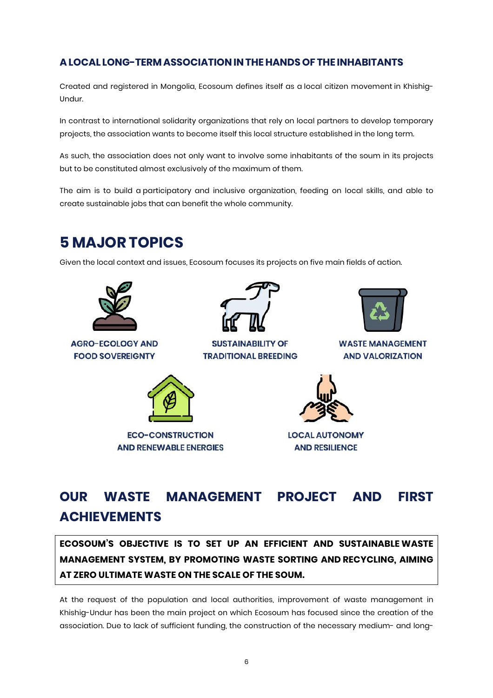#### **A LOCAL LONG-TERM ASSOCIATION IN THE HANDS OF THE INHABITANTS**

Created and registered in Mongolia, Ecosoum defines itself as a local citizen movement in Khishig-Undur.

In contrast to international solidarity organizations that rely on local partners to develop temporary projects, the association wants to become itself this local structure established in the long term.

As such, the association does not only want to involve some inhabitants of the soum in its projects but to be constituted almost exclusively of the maximum of them.

The aim is to build a participatory and inclusive organization, feeding on local skills, and able to create sustainable jobs that can benefit the whole community.

## **5 MAJOR TOPICS**

Given the local context and issues, Ecosoum focuses its projects on five main fields of action.



**AGRO-ECOLOGY AND FOOD SOVEREIGNTY** 



**SUSTAINABILITY OF TRADITIONAL BREEDING** 



**WASTE MANAGEMENT AND VALORIZATION** 



**ECO-CONSTRUCTION AND RENEWABLE ENERGIES** 



**LOCAL AUTONOMY AND RESILIENCE** 

# **OUR WASTE MANAGEMENT PROJECT AND FIRST ACHIEVEMENTS**

**ECOSOUM'S OBJECTIVE IS TO SET UP AN EFFICIENT AND SUSTAINABLE WASTE MANAGEMENT SYSTEM, BY PROMOTING WASTE SORTING AND RECYCLING, AIMING AT ZERO ULTIMATE WASTE ON THE SCALE OF THE SOUM.**

At the request of the population and local authorities, improvement of waste management in Khishig-Undur has been the main project on which Ecosoum has focused since the creation of the association. Due to lack of sufficient funding, the construction of the necessary medium- and long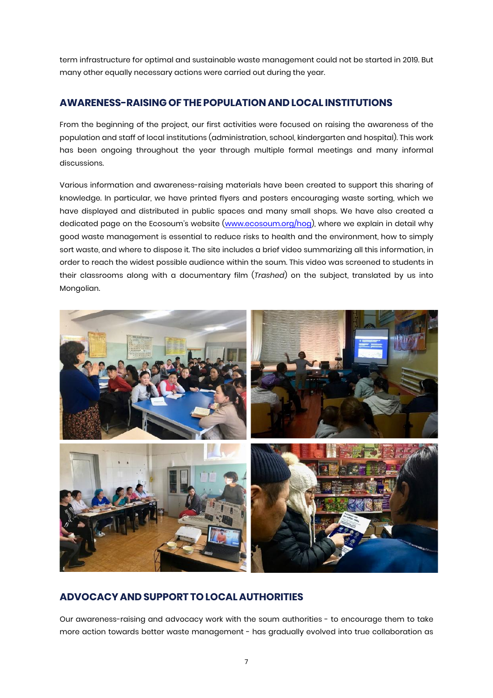term infrastructure for optimal and sustainable waste management could not be started in 2019. But many other equally necessary actions were carried out during the year.

#### **AWARENESS-RAISING OF THE POPULATION AND LOCAL INSTITUTIONS**

From the beginning of the project, our first activities were focused on raising the awareness of the population and staff of local institutions (administration, school, kindergarten and hospital). This work has been ongoing throughout the year through multiple formal meetings and many informal discussions.

Various information and awareness-raising materials have been created to support this sharing of knowledge. In particular, we have printed flyers and posters encouraging waste sorting, which we have displayed and distributed in public spaces and many small shops. We have also created a dedicated page on the Ecosoum's website (www.ecosoum.org/hog), where we explain in detail why good waste management is essential to reduce risks to health and the environment, how to simply sort waste, and where to dispose it. The site includes a brief video summarizing all this information, in order to reach the widest possible audience within the soum. This video was screened to students in their classrooms along with a documentary film (*Trashed*) on the subject, translated by us into Mongolian.



#### **ADVOCACY AND SUPPORT TO LOCAL AUTHORITIES**

Our awareness-raising and advocacy work with the soum authorities - to encourage them to take more action towards better waste management - has gradually evolved into true collaboration as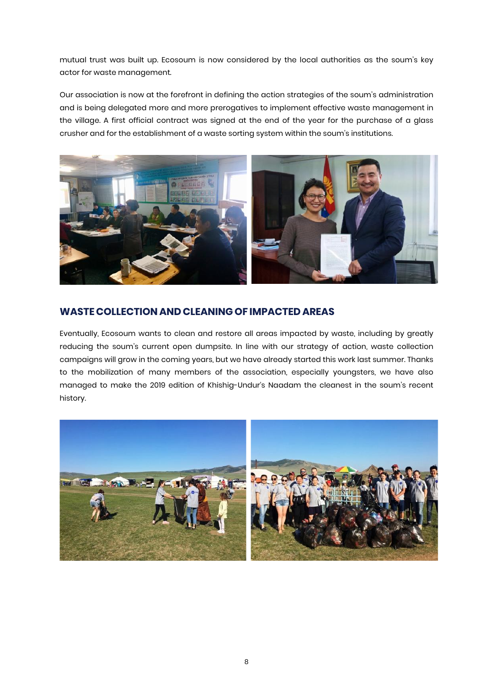mutual trust was built up. Ecosoum is now considered by the local authorities as the soum's key actor for waste management.

Our association is now at the forefront in defining the action strategies of the soum's administration and is being delegated more and more prerogatives to implement effective waste management in the village. A first official contract was signed at the end of the year for the purchase of a glass crusher and for the establishment of a waste sorting system within the soum's institutions.



#### **WASTE COLLECTION AND CLEANING OF IMPACTED AREAS**

Eventually, Ecosoum wants to clean and restore all areas impacted by waste, including by greatly reducing the soum's current open dumpsite. In line with our strategy of action, waste collection campaigns will grow in the coming years, but we have already started this work last summer. Thanks to the mobilization of many members of the association, especially youngsters, we have also managed to make the 2019 edition of Khishig-Undur's Naadam the cleanest in the soum's recent history.

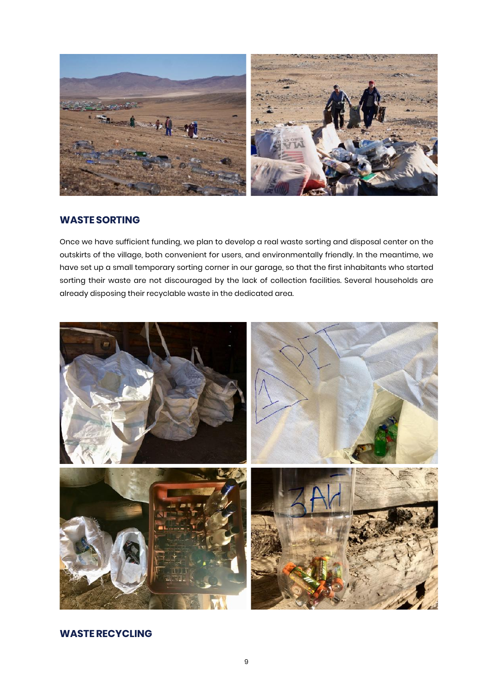

#### **WASTE SORTING**

Once we have sufficient funding, we plan to develop a real waste sorting and disposal center on the outskirts of the village, both convenient for users, and environmentally friendly. In the meantime, we have set up a small temporary sorting corner in our garage, so that the first inhabitants who started sorting their waste are not discouraged by the lack of collection facilities. Several households are already disposing their recyclable waste in the dedicated area.



#### **WASTERECYCLING**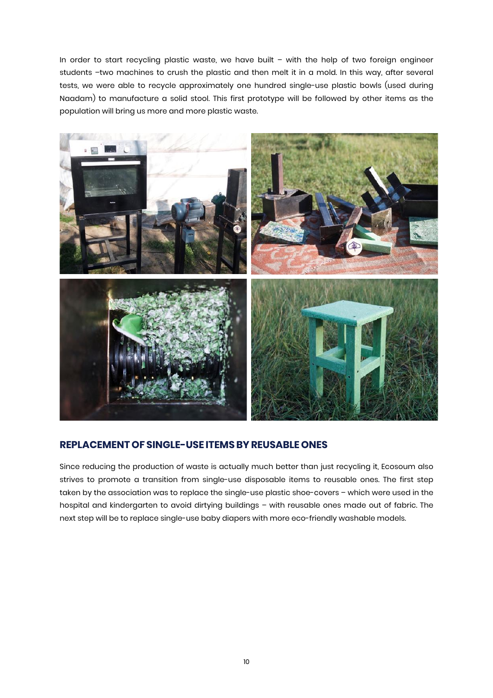In order to start recycling plastic waste, we have built – with the help of two foreign engineer students –two machines to crush the plastic and then melt it in a mold. In this way, after several tests, we were able to recycle approximately one hundred single-use plastic bowls (used during Naadam) to manufacture a solid stool. This first prototype will be followed by other items as the population will bring us more and more plastic waste.



#### **REPLACEMENT OF SINGLE-USE ITEMSBYREUSABLE ONES**

Since reducing the production of waste is actually much better than just recycling it, Ecosoum also strives to promote a transition from single-use disposable items to reusable ones. The first step taken by the association was to replace the single-use plastic shoe-covers – which were used in the hospital and kindergarten to avoid dirtying buildings – with reusable ones made out of fabric. The next step will be to replace single-use baby diapers with more eco-friendly washable models.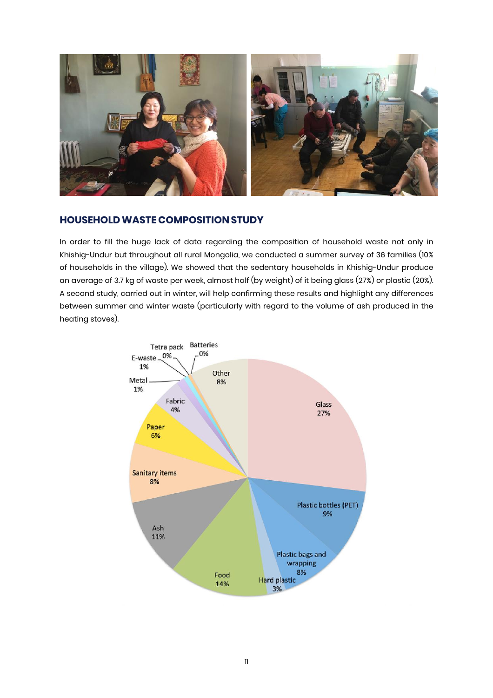

#### **HOUSEHOLDWASTE COMPOSITION STUDY**

In order to fill the huge lack of data regarding the composition of household waste not only in Khishig-Undur but throughout all rural Mongolia, we conducted a summer survey of 36 families (10% of households in the village). We showed that the sedentary households in Khishig-Undur produce an average of 3.7 kg of waste per week, almost half (by weight) of it being glass (27%) or plastic (20%). A second study, carried out in winter, will help confirming these results and highlight any differences between summer and winter waste (particularly with regard to the volume of ash produced in the heating stoves).

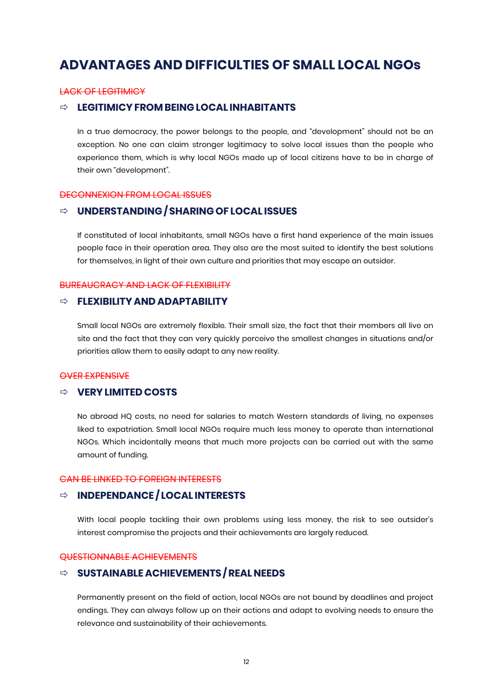## **ADVANTAGES AND DIFFICULTIES OF SMALL LOCAL NGOs**

#### LACK OF LEGITIMICY

#### ð **LEGITIMICYFROM BEING LOCAL INHABITANTS**

In a true democracy, the power belongs to the people, and "development" should not be an exception. No one can claim stronger legitimacy to solve local issues than the people who experience them, which is why local NGOs made up of local citizens have to be in charge of their own "development".

#### DECONNEXION FROM LOCAL ISSUES

#### ð **UNDERSTANDING / SHARING OF LOCAL ISSUES**

If constituted of local inhabitants, small NGOs have a first hand experience of the main issues people face in their operation area. They also are the most suited to identify the best solutions for themselves, in light of their own culture and priorities that may escape an outsider.

#### BUREAUCRACY AND LACK OF FLEXIBILITY

#### ð **FLEXIBILITY AND ADAPTABILITY**

Small local NGOs are extremely flexible. Their small size, the fact that their members all live on site and the fact that they can very quickly perceive the smallest changes in situations and/or priorities allow them to easily adapt to any new reality.

#### OVER EXPENSIVE

#### ð **VERYLIMITED COSTS**

No abroad HQ costs, no need for salaries to match Western standards of living, no expenses liked to expatriation. Small local NGOs require much less money to operate than international NGOs. Which incidentally means that much more projects can be carried out with the same amount of funding.

#### CAN BE LINKED TO FOREIGN INTERESTS

#### ð **INDEPENDANCE / LOCAL INTERESTS**

With local people tackling their own problems using less money, the risk to see outsider's interest compromise the projects and their achievements are largely reduced.

#### QUESTIONNABLE ACHIEVEMENTS

#### ð **SUSTAINABLE ACHIEVEMENTS /REAL NEEDS**

Permanently present on the field of action, local NGOs are not bound by deadlines and project endings. They can always follow up on their actions and adapt to evolving needs to ensure the relevance and sustainability of their achievements.